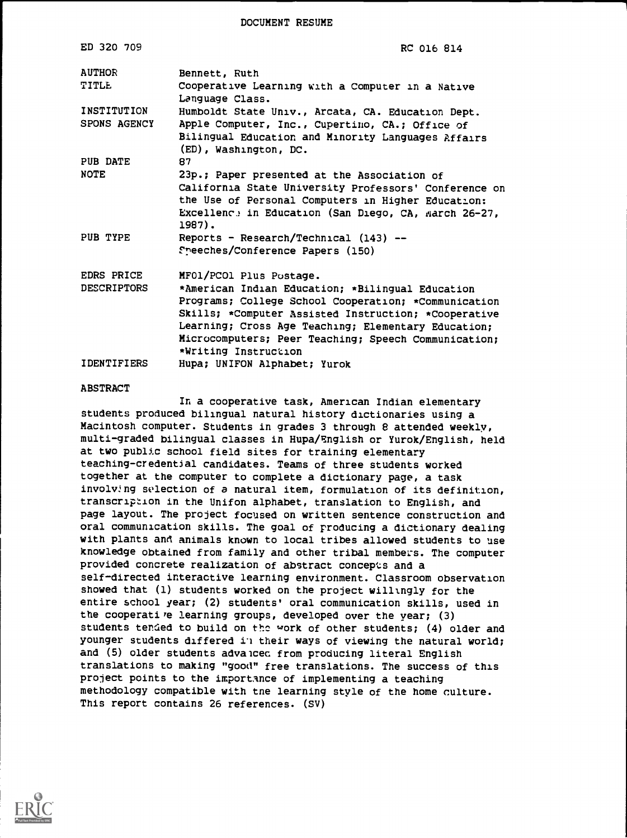DOCUMENT RESUME

| ED 320 709                         | RC 016 814                                                                                                                                                                                                                                                                                                                         |
|------------------------------------|------------------------------------------------------------------------------------------------------------------------------------------------------------------------------------------------------------------------------------------------------------------------------------------------------------------------------------|
| <b>AUTHOR</b><br>TITLE             | Bennett, Ruth<br>Cooperative Learning with a Computer in a Native<br>Language Class.                                                                                                                                                                                                                                               |
| INSTITUTION<br><b>SPONS AGENCY</b> | Humboldt State Univ., Arcata, CA. Education Dept.<br>Apple Computer, Inc., Cupertino, CA.; Office of<br>Bilingual Education and Minority Languages Affairs<br>(ED), Washington, DC.                                                                                                                                                |
| PUB DATE                           | 87                                                                                                                                                                                                                                                                                                                                 |
| <b>NOTE</b>                        | 23p.; Paper presented at the Association of<br>California State University Professors' Conference on<br>the Use of Personal Computers in Higher Education:<br>Excellence in Education (San Diego, CA, March 26-27,<br>1987).                                                                                                       |
| PUB TYPE                           | Reports - Research/Technical (143) --<br>Speeches/Conference Papers (150)                                                                                                                                                                                                                                                          |
| EDRS PRICE<br><b>DESCRIPTORS</b>   | MF01/PCO1 Plus Postage.<br>*American Indian Education; *Bilingual Education<br>Programs; College School Cooperation; *Communication<br>Skills; *Computer Assisted Instruction; *Cooperative<br>Learning; Cross Age Teaching; Elementary Education;<br>Microcomputers; Peer Teaching; Speech Communication;<br>*Writing Instruction |
| <b>IDENTIFIERS</b>                 | Hupa; UNIFON Alphabet; Yurok                                                                                                                                                                                                                                                                                                       |

#### ABSTRACT

In a cooperative task, American Indian elementary students produced bilingual natural history dictionaries using a Macintosh computer. Students in grades 3 through 8 attended weekly, multi-graded bilingual classes in Hupa/English or Yurok/English, held at two public school field sites for training elementary teaching-credential candidates. Teams of three students worked together at the computer to complete a dictionary page, a task involv:ng selection of a natural item, formulation of its definition, transcription in the Unifon alphabet, translation to English, and page layout. The project focused on written sentence construction and oral communication skills. The goal of producing a dictionary dealing with plants and animals known to local tribes allowed students to use knowledge obtained from family and other tribal members. The computer provided concrete realization of abstract concepts and a self-directed interactive learning environment. Classroom observation showed that (1) students worked on the project willingly for the entire school year; (2) students' oral communication skills, used in the cooperative learning groups, developed over the year; (3) students tended to build on the work of other students; (4) older and younger students differed ii their ways of viewing the natural world; and (5) older students advalcec from producing literal English translations to making "good" free translations. The success of this project points to the importance of implementing a teaching methodology compatible with tne learning style of the home culture. This report contains 26 references. (SV)

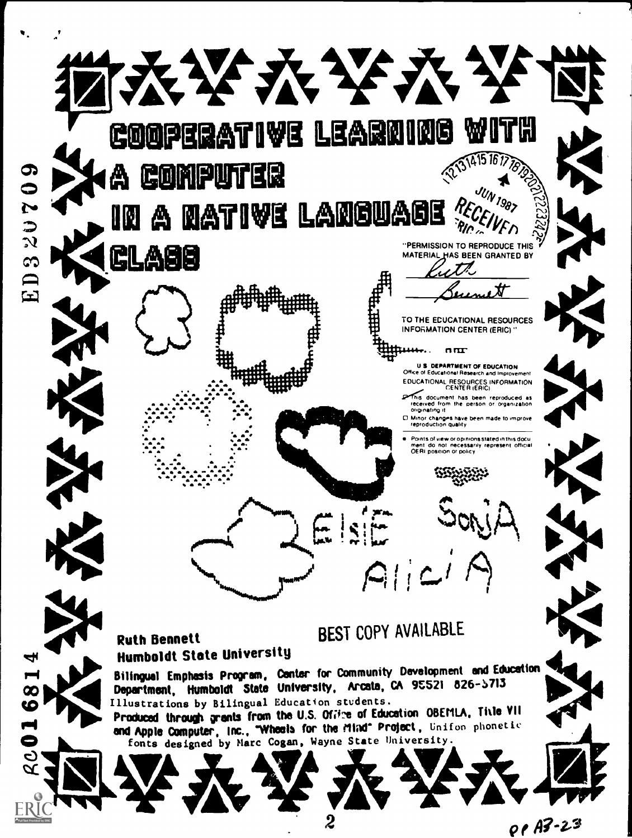

OP A3-23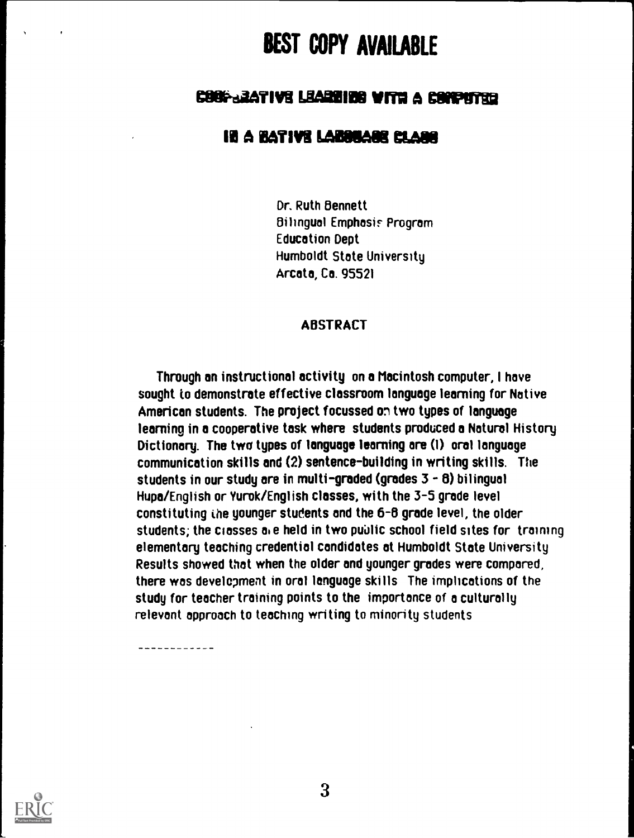# BEST COPY AVAILABLE

# COOP-BATIVE LEAREIDE WITH A COMPUTER

## IN A BATIVE LABOUAGE CLARE

Dr. Ruth Bennett Bilingual Emphasis Program Education Dept Humboldt State University Arcata, Ca. 95521

#### ABSTRACT

Through an instructional activity on a Macintosh computer, I have sought to demonstrate effective classroom language learning for Native American students. The project focussed on two types of language learning in a cooperative task where students produced a Natural History Dictionary. The two types of language learning are (1) oral language communication skills and (2) sentence-building in writing skills. The students in our study are in multi-graded (grades  $3 - 8$ ) bilingual Hupa/English or Yurok/English classes, with the 3-5 grade level constituting the younger students and the 6-8 grade level, the older students; the classes ale held in two public school field sites for training elementary teaching credential candidates at Humboldt State University Results showed that when the older and younger grades were compared, there was development in oral language skills The implications of the study for teacher training points to the importance of a culturally relevant approach to teaching writing to minority students



-----------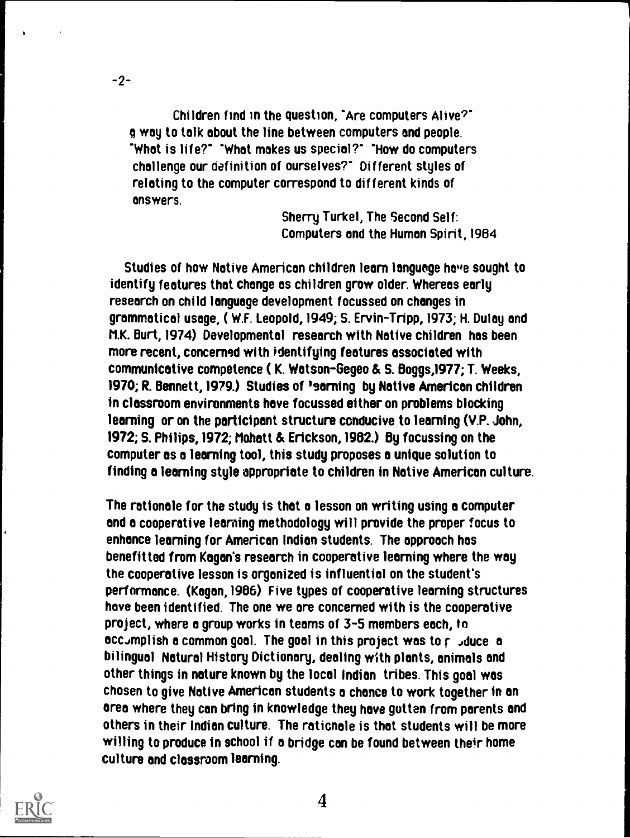Children find in the question, "Are computers Alive?" way to talk about the line between computers and people. 'What is life?' 'What makes us special?' 'How do computers challenge our definition of ourselves?' Different styles of relating to the computer correspond to different kinds of answers.

-2-

Sherry Turkel, The Second Self: Computers and the Human Spirit, 1984

Studies of how Native American children learn language have sought to identify features that change as children grow older. Whereas early research on child language development focussed on changes in grammatical usage, ( W.F. Leopold,1949; S. Ervin-Tripp, 1973; H. Dulay and M.K. Burt, 1974) Developmental research with Native children has been more recent, concerned with identifying features associated with communicative competence ( K. Watson-Gegeo & S. Boggs,1977; T. Weeks, 1970; R. Bennett,1979.) Studies of 'earning by Native American children in classroom environments hove focussed either on problems blocking learning or on the participant structure conducive to learning (V.P. John, 1972; S. Philips,1972; Mohatt & Erickson,1982.) By focussing on the computer es o learning tool, this study proposes o unique solution to finding o learning style appropriate to children in Native American culture.

The rationale for the study is that o lesson on writing using a computer and a cooperative learning methodology will provide the proper focus to enhance learning for American Indian students. The approach has benefitted from Kagan's research in cooperative learning where the way the cooperative lesson is organized is influential on the student's performance. (Kagan,1986) Five types of cooperative learning structures hove been identified. The one we are concerned with is the cooperative project, where a group works in teams of 3-5 members each, to acc.mplish a common goal. The goal in this project was to  $r$  , duce a bilingual Natural History Dictionary, dealing with plants, animals and other things in nature known by the local Indian tribes. This goal was chosen to give Native American students o chance to work together in on area where they can bring in knowledge they hove gotten from parents and others in their Indian culture. The rationale is that students will be more willing to produce in school if a bridge can be found between their home culture and classroom learning.



4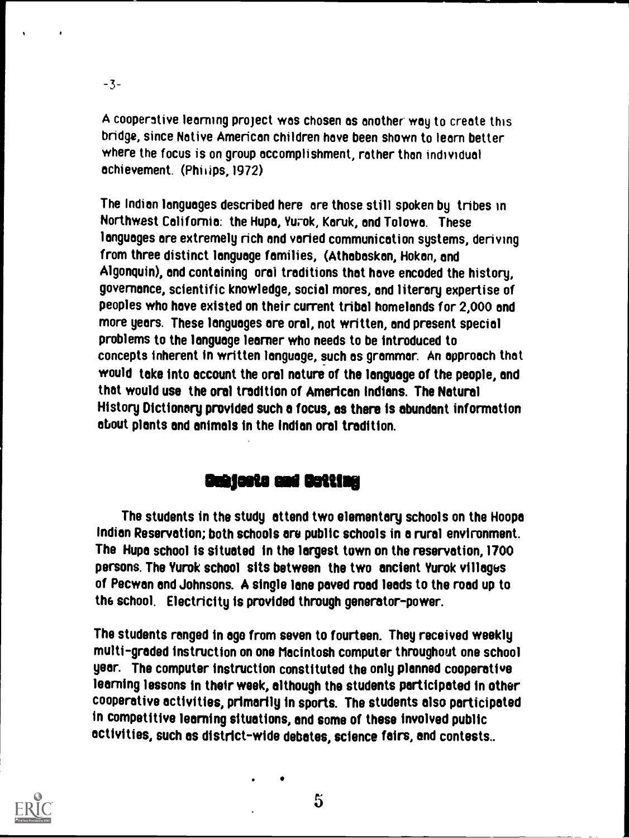-3-

A cooperative learning project was chosen as another-way to create this bridge, since Native American children hove been shown to learn better where the focus is on group accomplishment, rather than individual achievement. (Philips,1972)

The Indian languages described here are those still spoken by tribes in Northwest California: the Hupa, Yurok, Karuk, and Tolowa. These languages are extremely rich and varied communication systems, deriving from three distinct language families, (Athabaskan, Hokan, and Algonquin), and containing oral traditions that hove encoded the history, governance, scientific knowledge, social mores, and literary expertise of peoples who have existed on their current tribal homelands for 2,000 and more years. These languages are oral, not written, and present special problems to the language learner who needs to be introduced to concepts inherent in written language, such as grammar. An approach that would take into account the oral nature of the language of the people, and that would use the oral tradition of American Indians. The Natural History Dictionary provided such o focus, as there is abundant information about plants and animals in the Indian oral tradition.

## **Ouhicsts and Detting**

The students in the study attend two elementary schools on the Hoopa Indian Reservation; both schools are public schools in a rural environment. The Hupa school is situated in the largest town on the reservation, 1700 persons. The Yurok school sits between the two ancient Yurok villages of Pecwan and Johnsons. A single lane paved road leads to the road up to the school. Electricity is provided through generator-power.

The students ranged in age from seven to fourteen. They received weekly multi-graded instruction on one Macintosh computer throughout one school year. The computer instruction constituted the only planned cooperative learning lessons in their week, although the students participated in other cooperative activities, primarily in sports. The students also participated in competitive learning situations, and some of these involved public activities, such es district-wide debates, science fairs, and contests..

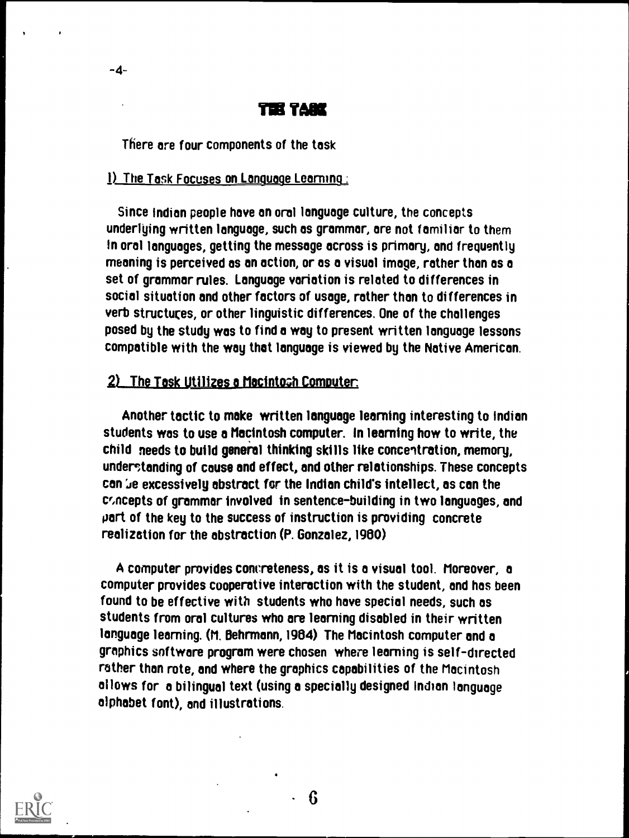### **The Tark**

There are four components of the task

-4-

#### 1) The Task Focuses on Language Learning:

Since Indian people have an oral language culture, the concepts underlying written language, such as grammar, are not familiar to them In oral languages, getting the message across is primary, and frequently meaning is perceived as an action, or as a visual image, rather than as a set of grammar rules. Language variation is related to differences in social situation and other factors of usage, rather than to differences in verb structures, or other linguistic differences. One of the challenges posed by the study was to find a way to present written language lessons compatible with the way that language is viewed by the Native American.

#### $2)$  The Task Utilizes a Macintosh Computer.

Another tactic to make written language learning interesting to Indian students was to use a Macintosh computer. In learning how to write, the child needs to build general thinking skills like concentration, memory, understanding of cause and effect, and other relationships. These concepts can 'Je excessively abstract for the Indian child's intellect, as can the cr,ncepts of grammar involved in sentence-building in two languages, and part of the key to the success of instruction is providing concrete realization for the abstraction (P. Gonzalez, 1980)

A computer provides concreteness, as it is a visual tool. Moreover, a computer provides cooperative interaction with the student, and has been found to be effective with students who have special needs, such as students from oral cultures who are learning disabled in their written language learning. (M. Behrmann, 1984) The Macintosh computer and a graphics software program were chosen where learning is self-directed rather than rote, and where the graphics capabilities of the Macintosh al lows for a bilingual text (using a specially designed Indian language alphabet font), and illustrations.



6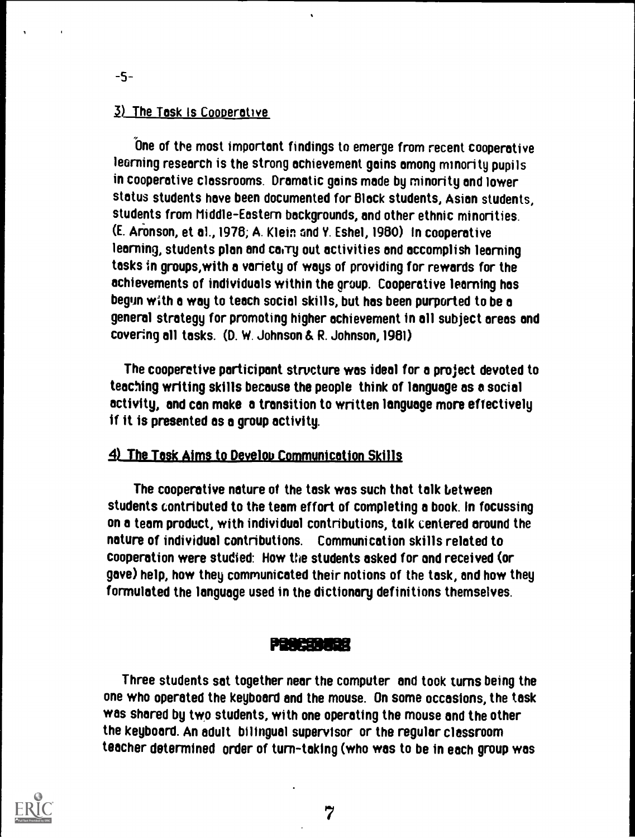#### 3) The Task Is Cooperative

-5-

One of the most important findings to emerge from recent cooperative learning research is the strong achievement gains among minority pupils in cooperative classrooms. Dramatic gains mode by minority and lower status students have been documented for Black students, Asian students, students from Middle-Eastern backgrounds, and other ethnic minorities. (E. Aronson, et a1.,1976; A. Klein and Y. Eshel, 1960) In cooperative learning, students plan and carry out activities and accomplish learning tasks in groups,with a variety of ways of providing for rewards for the achievements of individuals within the group. Cooperative learning has begun with a way to teach social skills, but has been purported to be a general strategy for promoting higher achievement in all subject areas and covering all tasks. (D. W. Johnson & R. Johnson, 1981)

The cooperative participant structure was ideal for a project devoted to teaching writing skills because the people think of language as a social activity, and can make a transition to written language more effectively if it is presented as a group activity.

#### 4) The Tosk Aims to Develop Communication Skills

The cooperative nature of the task was such that talk between students contributed to the team effort of completing a book. In focussing on a teem product, with individual contributions, talk centered around the nature of individual contributions. Communication skills related to cooperation were studied: How the students asked for and received (or gave) help, how they communicated their notions of the task, and how they formulated the language used in the dictionary definitions themselves.

#### Pilleffillgt

Three students sat together near the computer and took turns being the one who operated the keyboard and the mouse. On some occasions, the task was shared by two students, with one operating the mouse and the other the keyboard. An adult bilingual supervisor or the regular classroom teacher determined order of turn-taking (who was to be in each group was



7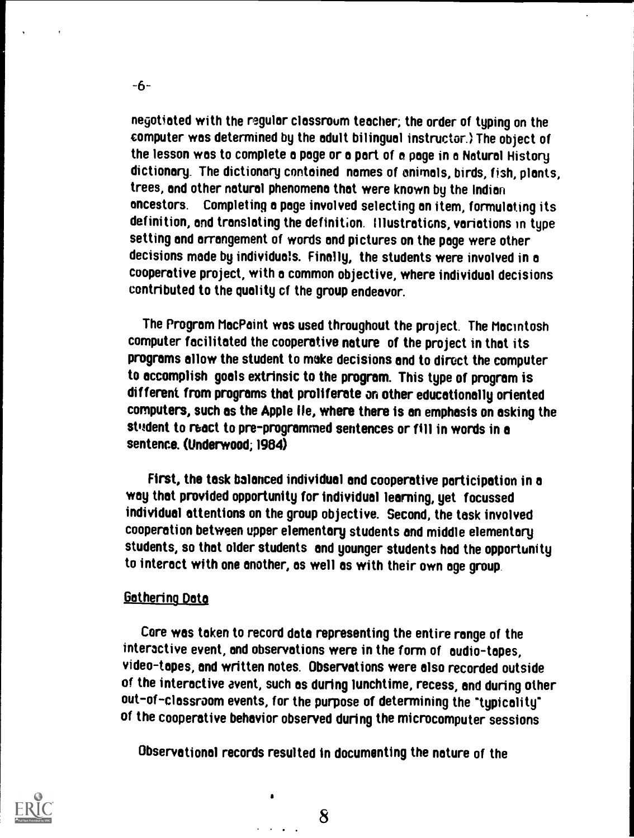negotiated with the regular classroum teacher; the order of typing on the computer was determined by the adult bilingual instructor.) The object of the lesson was to complete a page or a part of a page in a Natural History dictionary. The dictionary contained names of animals, birds, fish, plants, trees, and other natural phenomena that were known by the Indian ancestors. Completing a page involved selecting an item, formulating its definition, and translating the definition. IllustratiGns, variations in type setting and arrangement of words and pictures on the page were other decisions made by individuals. Finally, the students were involved in a cooperative project, with a common objective, where individual decisions contributed to the quality cf the group endeavor.

The Program MacPaint was used throughout the project. The Macintosh computer facilitated the cooperative nature of the project in that its programs allow the student to make decisions and to direct the computer to accomplish goals extrinsic to the program. This type of program is different from programs that proliferate an other educationally oriented computers, such as the Apple lie, where there is an emphasis on asking the student to react to pre-programmed sentences or fill in words in a sentence. (Underwood; 1984)

First, the task balanced individual and cooperative participation in a way that provided opportunity for individual learning, yet focussed individual attentions on the group objective. Second, the task involved cooperation between upper elementary students and middle elementary students, so that older students and younger students had the opportunity to interact with one another, as well as with their own age group.

#### Gathering Data

Core was taken to record data representing the entire range of the interactive event, and observations were in the form of audio-tapes, video-tapes, and written notes. Observations were also recorded outside of the interactive avent, such as during lunchtime, recess, and during other out-of-classroom events, for the purpose of determining the "typicality" of the cooperative behavior observed during the microcomputer sessions

Observational records resulted in documenting the nature of the



-6-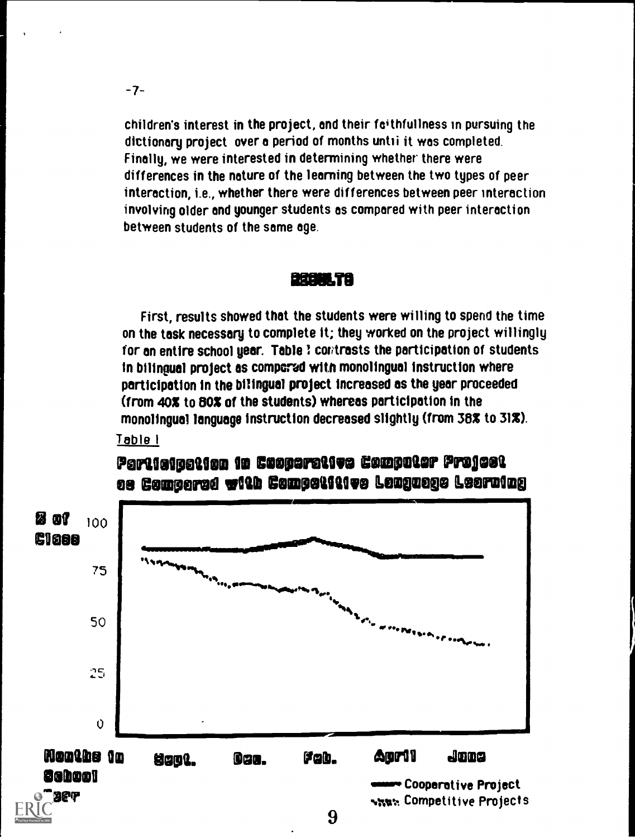$-7-$ 

children's interest in the project, and their faithfullness in pursuing the dictionary project over a period of months until it was completed. Finally, we were interested in determining whether there were differences in the nature of the learning between the two types of peer interaction, i.e., whether there were differences between peer interaction involving older and younger students as compared with peer interaction between students of the same age.

#### BERMILTA

First, results showed that the students were willing to spend the time on the task necessary to complete it; they worked on the project willingly for an entire school year. Table ? contrasts the participation of students in bilingual project as compered with monolingual instruction where participation in the bilingual project increased as the year proceeded (from 40% to 80% of the students) whereas participation in the monolingual language instruction decreased slightly (from 38% to 31%). <u>Table I</u>



# Participation in Cooperative Computer Project **es Comperse with Compotitive Leaguege Leerning**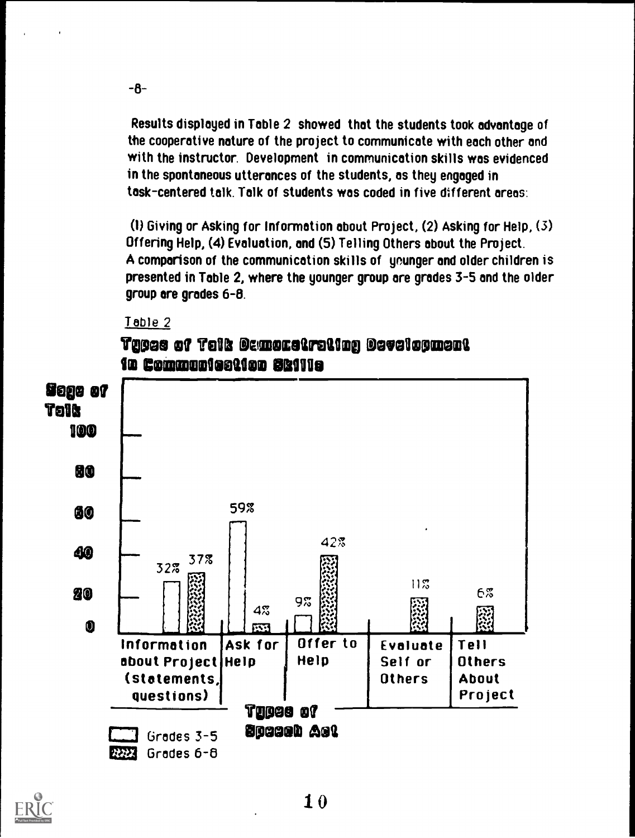Results displayed in Table 2 showed that the students took advantage of the cooperative nature of the project to communicate with each other and with the instructor. Development in communication skills was evidenced in the spontaneous utterances of the students, as they engaged in tosk-centered talk. Talk of students was coded in five different areas:

(1) Giving or Asking for Information about Project, (2) Asking for Help, (3) Offering Help. (4) Evaluation, and (5) Telling Others about the Project. A comparison of the communication skills of younger and older children is presented in Table 2, where the younger group are grades 3-5 and the older group are grades 6-8.

#### Table 2

 $-6-$ 

# **Taces of Telk Gemoratreting Development** <u> 10 Commoniestion Skilla</u>



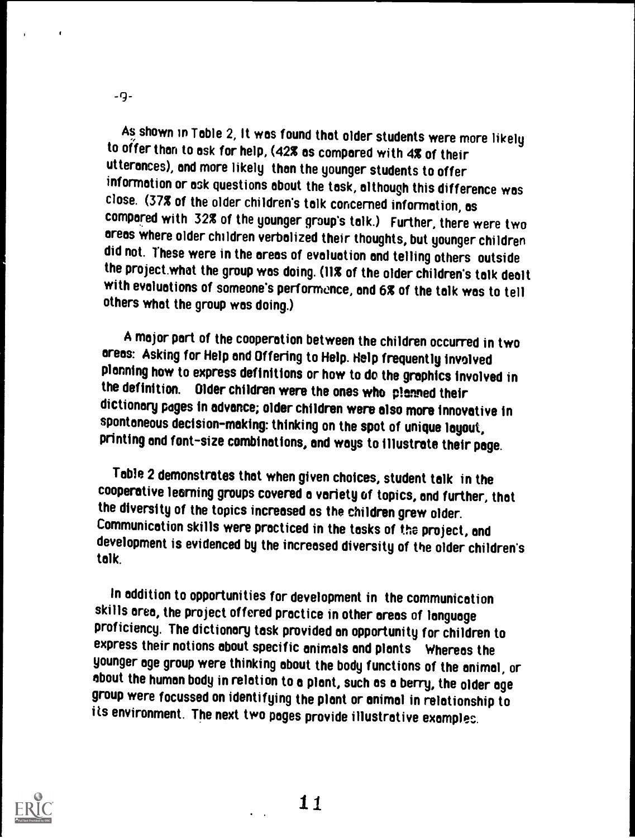As shown in Table 2, It was found that older students were more likely to offer than to ask for help, (42% as compared with 4% of their utterances), and more likely than the younger students to offer information or ask questions about the task, although this difference was close. (37% of the older children's talk concerned information, as compared with 32% of the younger group's talk.) Further, there were two areas where older children verbalized their thoughts, but younger children did not. These were in the areas of evaluation and telling others outside the project.what the group was doing. (11% of the older children's talk dealt with evaluations of someone's performance, and 6% of the talk was to tell others what the group was doing.)

A major part of the cooperation between the children occurred in two areas: Asking for Help and Offering to Help. Help frequently involved planning how to express definitions or how to do the graphics involved in the definition. Older children were the ones who planned their dictionary pages in advance; older children were also more innovative in spontaneous decision-making: thinking on the spot of unique layout, printing and font-size combinations, and ways to illustrate their page.

Table 2 demonstrates that when given choices, student talk in the cooperative learning groups covered a variety of topics, and further, that the diversity of the topics increased as the children grew older. Communication skills were practiced in the tasks of the project, and development is evidenced by the increased diversity of the older children's talk.

In addition to opportunities for development in the communication skills area, the project offered practice in other areas of language proficiency. The dictionary task provided an opportunity for children to express their notions about specific animals and plants Whereas the younger age group were thinking about the body functions of the animal, or about the human body in relation to a plant, such as a berry, the older age group were focussed on identifying the plant or animal in relationship to its environment. The next two pages provide illustrative examples.



-9-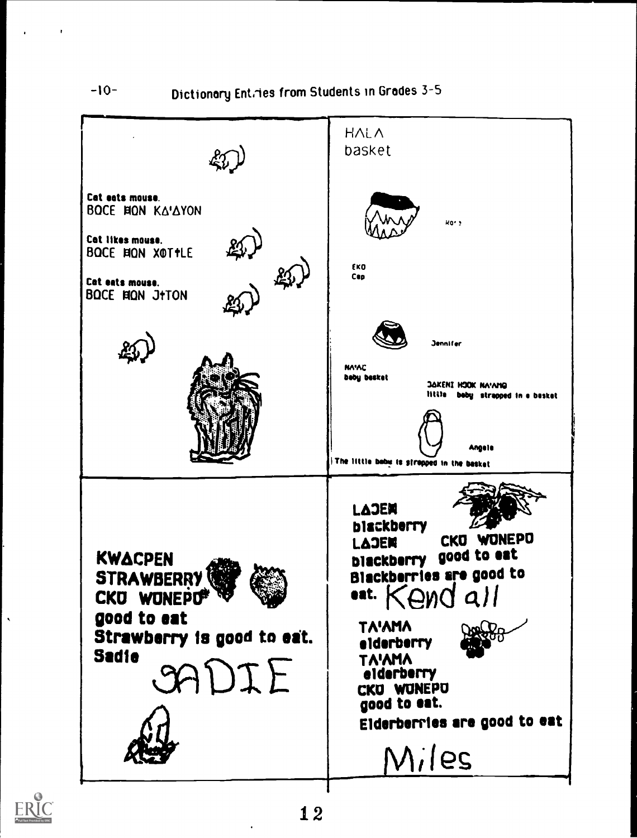$-10-$ 

 $\mathbf{r}$ 

Dictionary Entries from Students in Grades 3-5



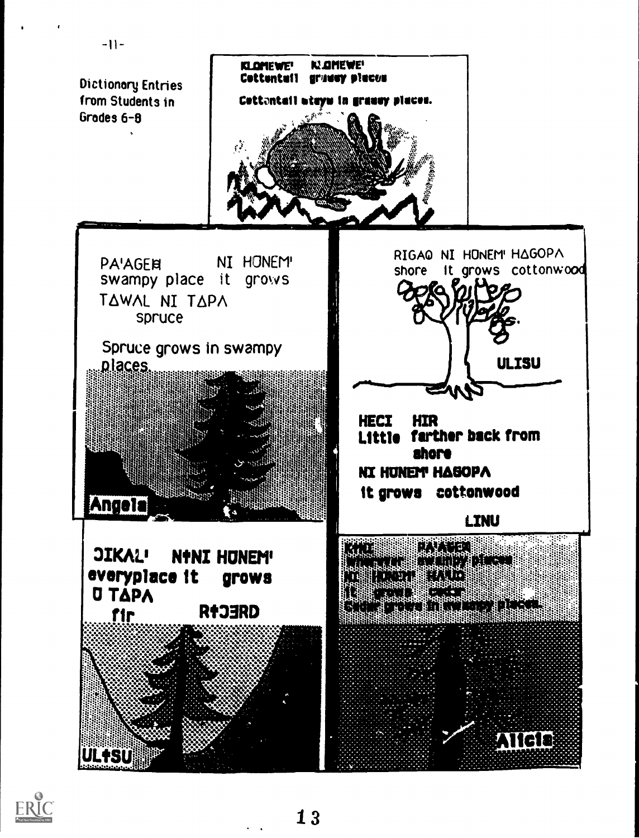

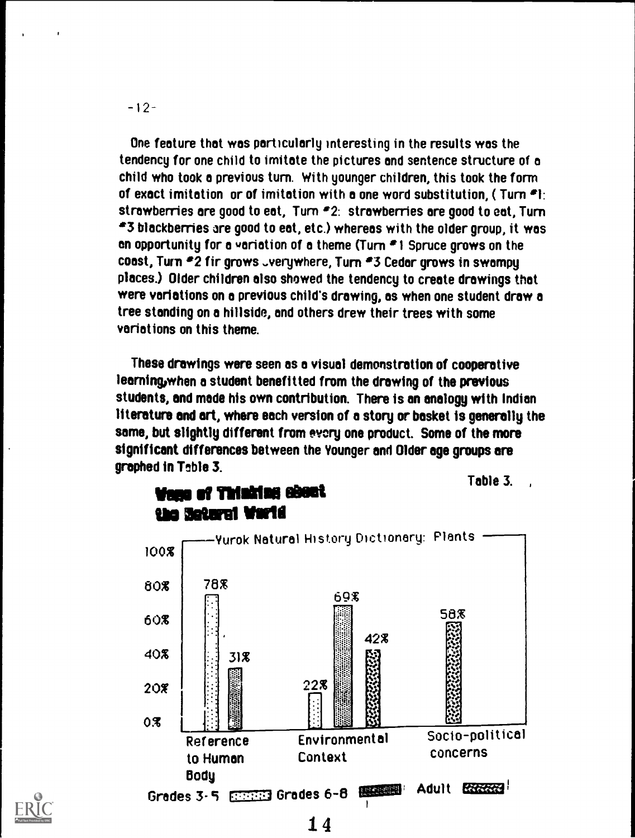$-12-$ 

One feature that was particularly interesting in the results was the tendency for one child to imitate the pictures and sentence structure of a child who took a previous turn. With younger children, this took the form of exact imitation or of imitation with a one word substitution, ( Turn \*1: strawberries are good to eat, Turn \*2: strawberries are good to eat, Turn \*3 blackberries are good to eat, etc.) whereas with the older group, it was en opportunity for a variation of a theme (Turn \*I Spruce grows on the coast, Turn #2 fir grows ..verywhere, Turn #3 Cedar grows in swampy places.) Older children also showed the tendency to create drawings that were variations on a previous child's drawing, as when one student draw a tree standing on a hillside, and others drew their trees with some variations on this theme.

These drawings were seen as a visual demonstration of cooperative learning, when a student benefitted from the drawing of the previous students, and made his own contribution. There is an analogy with Indian literature and art, where each version of a story or basket is generally the same, but slightly different from every one product. Some of the more significant differences between the Younger and Older age groups are graphed in Table 3.





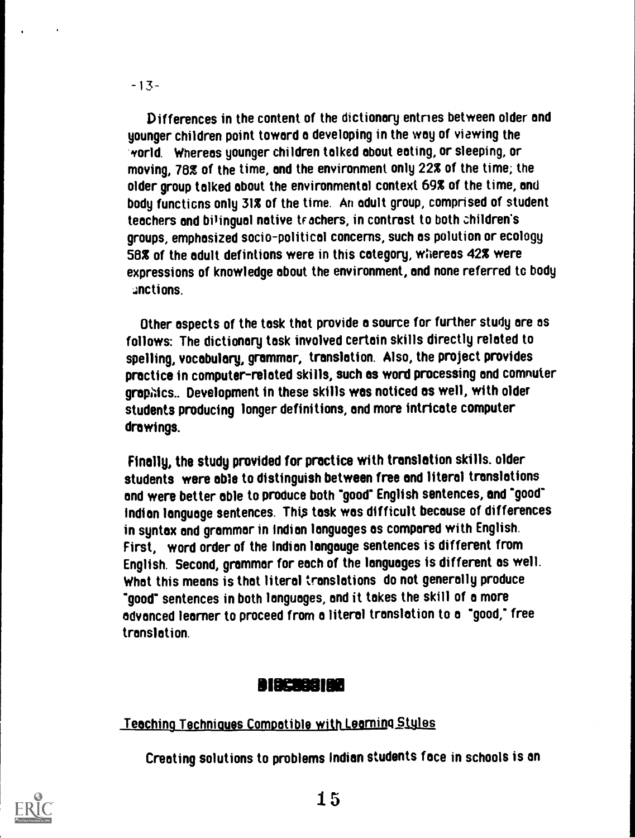Differences in the content of the dictionary entries between older and younger children point toward a developing in the way of viewing the /orld. Whereas younger children talked about eating, or sleeping, or moving, 78% of the time, and the environment only 22% of the time; the older group talked about the environmental context 69% of the time, and body functions only 31% of the time. An adult group, comprised of student teachers and bilingual native teachers, in contrast to both children's groups, emphasized socio-political concerns, such as polution or ecology 58% of the adult defintions were in this category, wiereas 42% were expressions of knowledge about the environment, and none referred to body Actions.

Other aspects of the task that provide a source for further study are as follows: The dictionary task involved certain skills directly related to spelling, vocabulary, grammar, translation. Also, the project provides practice in computer-related skills, such as word processing and comnuter graphics.. Development in these skills was noticed as well, with older students producing longer definitions, and more intricate computer drawings.

Finally, the study provided for practice with translation skills. older students were able to distinguish between free and literal translations and were better able to produce both "good' English sentences, and 'good" Indian language sentences. This task was difficult because of differences in syntax and grammar in Indian languages as compered with English. First, word order of the Indian langauge sentences is different from English. Second, grammar for each of the languages is different as well. What this means is that literal translations do not generally produce 'good' sentences in both languages, and it takes the skill of a more advanced learner to proceed from a literal translation to a 'good; free translation.

# 11023881111

<u>Teaching Techniques Compatible with Learning Styles</u>

Creating solutions to problems Indian students face in schools is an

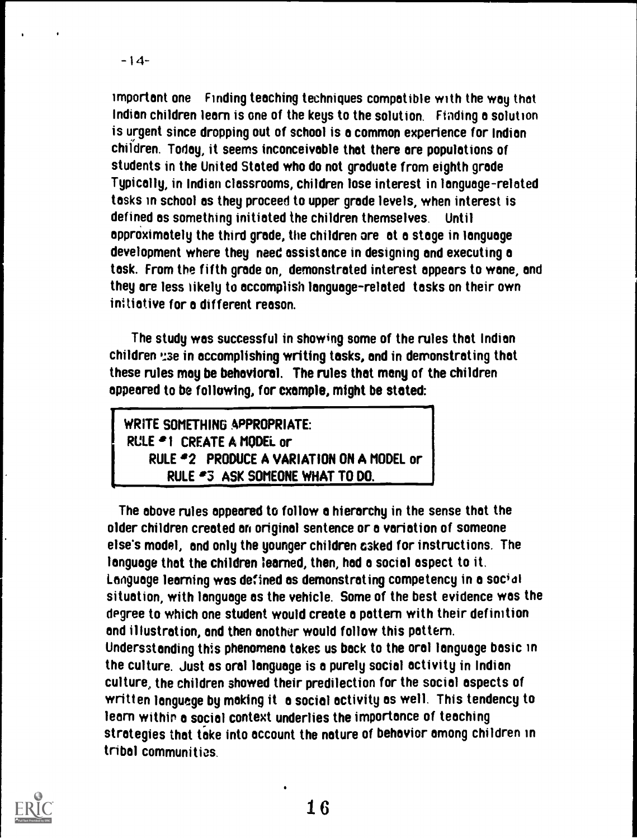important one Finding teaching techniques compatible with the way that Indian children learn is one of the keys to the solution. Finding a solution is urgent since dropping out of school is a common experience for Indian children. Today, it seems inconceivable that there are populations of students in the United Stated who do not graduate from eighth grade Typically, in Indian classrooms, children lose interest in language-related tasks in school as they proceed to upper grade levels, when interest is defined as something initiated the children themselves. Until approximately the third grade, the children ore at a stage in language development where they need assistance in designing and executing a task. From the fifth grade on, demonstrated interest appears to wane, and they are less iikely to accomplish language-related tasks on their own initiative for a different reason.

The study was successful in showing some of the rules that Indian children 'Ise in accomplishing writing tasks, and in demonstrating that these rules may be behavioral. The rules that many of the children appeared to be following, for example, might be stated:

WRITE SOMETHING APPROPRIATE: RULE <sup>a</sup>1 CREATE A MODEL or RULE <sup>2</sup>2 PRODUCE A VARIATION ON A MODEL or RULE \*3 ASK SOMEONE WHAT TO DO.

The above rules appeared to follow a hierarchy in the sense that the older children created an original sentence or a variation of someone else's model, and only the younger children eked for instructions. The language that the children learned, then, had a social aspect to it. Language learning was defined as demonstrating competency in a social situation, with language as the vehicle. Some of the best evidence was the degree to which one student would create a pattern with their definition and illustration, and then another would follow this pattern. Undersstanding this phenomena takes us back to the oral language basic in the culture. Just as oral language is a purely social activity in Indian culture, the children showed their predilection for the social aspects of written language by making it a social activity as well. This tendency to learn within a social context underlies the importance of teaching strategies that take into account the nature of behavior among children in tribal communities.

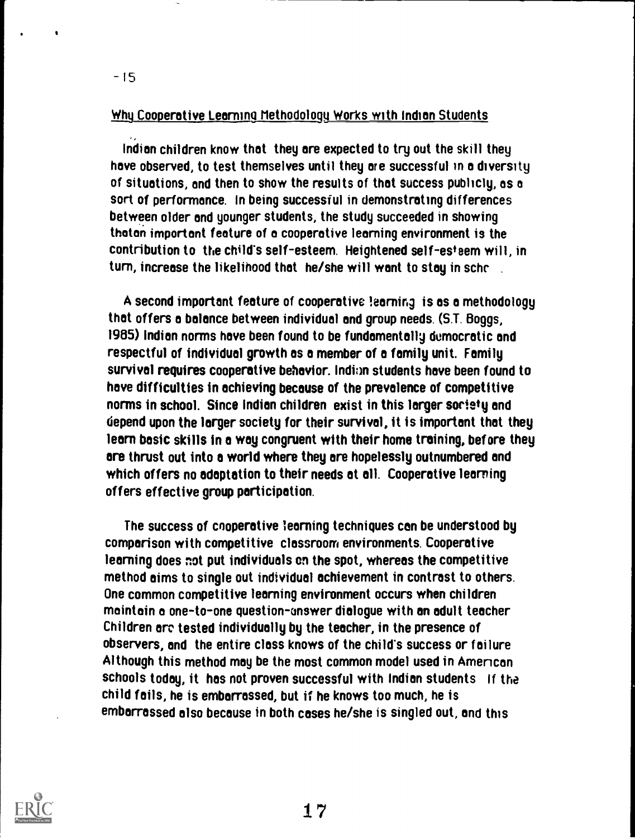#### Why Cooperative Learning Methodology Works with Indian Students

-15

Indian children know that they are expected to try out the skill they have observed, to test themselves until they are successful in a diversity of situations, and then to show the results of that success publicly, as a sort of performance. In being successful in demonstrating differences between older and younger students, the study succeeded in showing thatan important feature of a cooperative learning environment is the contribution to the child's self-esteem. Heightened self-esteem will, in turn, increase the likelihood that he/she will want to stay in scho

A second important feature of cooperative !earning is as a methodology that offers a balance between individual and group needs. (S.T. Boggs, 1955) Indian norms have been found to be fundamentally democratic and respectful of individual growth as a member of a family unit. Family survival requires cooperative behavior. Indium students have been found to have difficulties in achieving because of the prevalence of competitive norms in school. Since Indian children exist in this larger society and depend upon the larger society for their survival, it is important that they learn basic skills in a way congruent with their home training, before they are thrust out into a world where they are hopelessly outnumbered and which offers no adaptation to their needs at all. Cooperative learning offers effective group participation.

The success of cooperative learning techniques can be understood by comparison with competitive classroom environments. Cooperative learning does not put individuals on the spot, whereas the competitive method aims to single out individual achievement in contrast to others. One common competitive learning environment occurs when children maintain a one-to-one question-answer dialogue with an adult teacher Children are tested individually by the teacher, in the presence of observers, and the entire class knows of the child's success or failure Although this method may be the most common model used in Amencan schools today, it has not proven successful with Indian students If the child fails, he is embarrassed, but if he knows too much, he is embarrassed also because in both cases he/she is singled out, and this

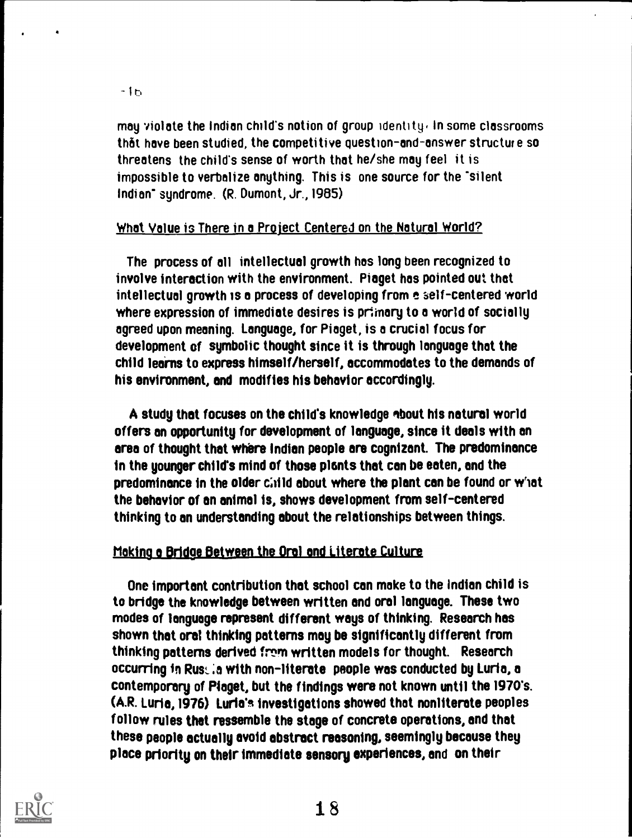may violate the Indian child's notion of group identity, In some classrooms th6t have been studied, the competitive question-and-answer structure so threatens the child's sense of worth that he/she may feel it is impossible to verbalize anything. This is one source for the "silent Indian' syndrome. (R. Dumont, Jr., 1985)

#### What Value is There in a Project Centered on the Natural World?

The process of all intellectual growth has long been recognized to involve interaction with the environment. Piaget has pointed out that intellectual growth is a process of developing from a self-centered world where expression of immediate desires is primary to a world of socially agreed upon meaning. Language, for Piaget, is a crucial focus for development of symbolic thought since it is through language that the child learns to express himself/herself, accommodates to the demands of his environment, and modifies his behavior accordingly.

A study that focuses on the child's knowledge about his natural world offers an opportunity for development of language, since it deals with an area of thought that where Indian people are cognizant. The predominance in the younger child's mind of those plants that can be eaten, and the predominance in the older child about where the plant can be found or what the behavior of on animal is, shows development from self-centered thinking to an understanding about the relationships between things.

#### Moking o Bridge Between the Oral and Literate Culture

One important contribution that school can make to the Indian child is to bridge the knowledge between written and oral language. These two modes of language represent different ways of thinking. Research has shown that oral thinking patterns may be significantly different from thinking patterns derived from written models for thought. Research occurring in Rustia with non-literate people was conducted by Luria, a contemporary of Piaget, but the findings were not known until the 1970's. (A.R. Luria, 1976) Luria's Investigations showed that nonliterate peoples follow rules that ressemble the stage of concrete operations, and that these people actually avoid abstract reasoning, seemingly because they place priority on their immediate sensory experiences, and on their

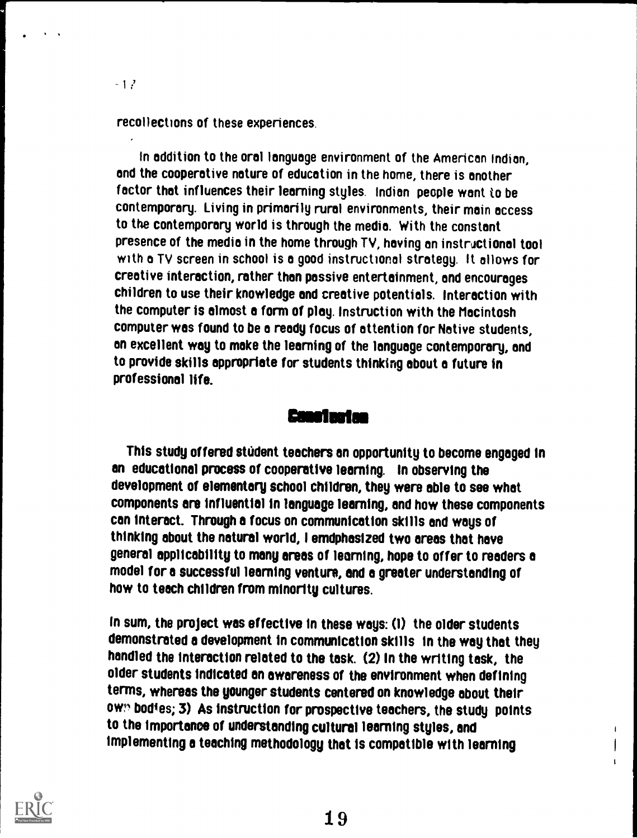recollections of these experiences.

 $-12$ 

In addition to the oral language environment of the American Indian, and the cooperative nature of education in the home, there is another factor that influences their learning styles. Indian people want to be contemporary. Living in primarily rural environments, their main access to the contemporary world is through the media. With the constant presence of the media in the home through TV, having an instructional tool with a TV screen in school is a good instructional strategy. It allows for creative interaction, rather than passive entertainment, and encourages children to use their knowledge and creative potentials. Interaction with the computer is almost a form of play. Instruction with the Macintosh computer was found to be a ready focus of attention for Native students, an excellent way to make the learning of the language contemporary, and to provide skills appropriate for students thinking about a future in professional life.

#### geosleolee

This study offered student teachers en opportunity to become engaged in en educational process of cooperative learning. In observing the development of elementary school children, they were able to see what components ere influential in language learning, and how these components can interact. Through a focus on communication skills and ways of thinking about the natural world, I emdphasized two areas that have general applicability to many areas of learning, hope to offer to readers e model for a successful learning venture, and a greater understanding of how to teach children from minority cultures.

In sum, the project was effective in these ways: (1) the older students demonstrated a development in communication skills In the way that they handled the interaction related to the task. (2) In the writing task, the older students indicated en awareness of the environment when defining terms, whereas the younger students centered on knowledge about their ow?, bodies; 3) As instruction for prospective teachers, the study points to the importance of understanding cultural learning styles, and implementing a teaching methodology that is compatible with learning



t

 $\mathbf{I}$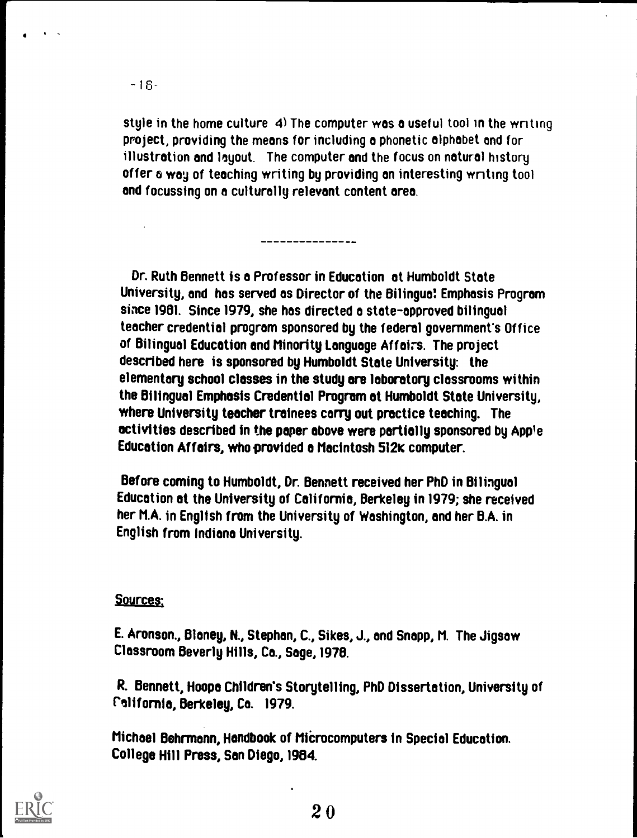$\bullet$  In the  $\bullet$ . .

> style in the home culture 4) The computer was a useful tool in the writing project, providing the means for including o phonetic alphabet and for illustration and layout. The computer and the focus on natural history offer a wog of teaching writing by providing on interesting wnting tool and focussing on a culturally relevant content area.

Dr. Ruth Bennett is o Professor in Education at Humboldt State University, and has served es Director of the Bilingual. Emphasis Program since 1981. Since 1979, she has directed a state-approved bilingual teacher credential program sponsored by the federal government's Office of Bilingual Education and Minority Language Affairs. The project described here is sponsored by Humboldt State University: the elementary school classes in the study are laboratory classrooms within the Bilingual Emphasis Credential Program at Humboldt State University, where University teacher trainees carry out practice teaching. The activities described in the paper above were partially sponsored by Apple Education Affairs, who provided o Macintosh 512K computer.

Before coming to Humboldt, Dr. Bennett received her PhD in Bilingual Education at the University of California, Berkeley in 1979; she received her M.A. in English from the University of Washington, and her B.A. in English from Indiana University.

#### Sources;

E. Aronson., Blaney, N., Stephan, C., Sikes, J., and Snapp, M. The Jigsaw Classroom Beverly Hills, Ca., Sage,1978.

R. Bennett, Hoope Children's Storytelling, PhD Dissertation, University of California, Berkeley, Co. 1979.

Michael Behrmann, Handbook of MiCrocomputers in Special Education. College Hill Press, San Diego, 1984.

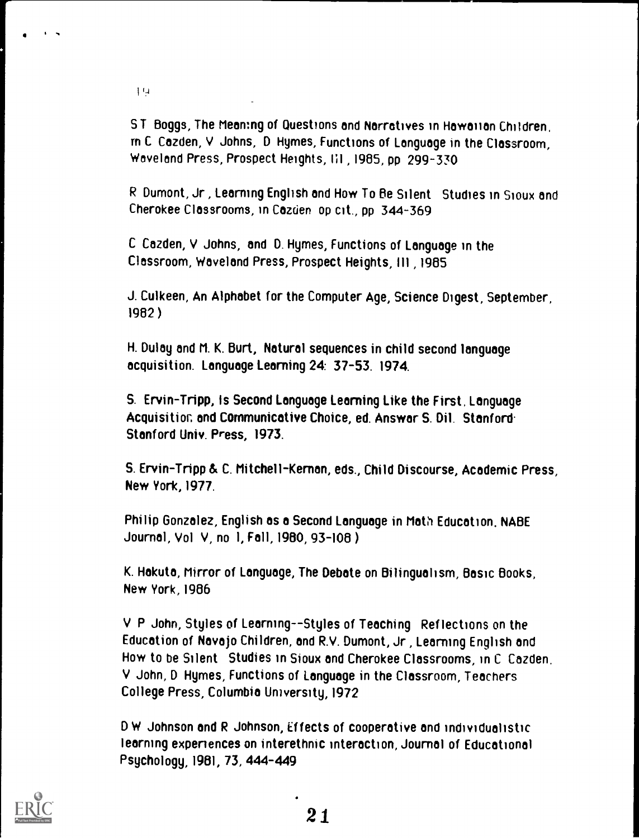$19$ 

ST Boggs, The Meaning of Questions and Narratives in Hawaiian Children, m C Cazden, V Johns, D Hymes, Functions of Language in the Classroom, Woveland Press, Prospect Heights, III 1985, pp 299-330

R Dumont, Jr, Learning English and How To Be Silent Studies in Sioux and Cherokee Classrooms, in Cazden op cit., pp 344-369

C Cazden, V Johns, and D. Hymes, Functions of Language in the Classroom, Waveland Press, Prospect Heights, III, 1985

J. Culkeen, An Alphabet for the Computer Age, Science Digest, September, 1982 )

H. Dulay and M. K. Burt, Natural sequences in child second language acquisition. Language Learning 24: 37-53. 1974.

S. Ervin-Tripp, Is Second Language Learning Like the First, Language Acquisition, and Communicative Choice, ed. Answer S. Dil. Stanford. Stanford Univ. Press, 1973.

S. Ervin-Tripp & C. Mitchell- Kernen, eds., Child Discourse, Academic Press, New York, 1977.

Phi lip Gonzalez, English as a Second Language in Math Education. NABE Journal, Vol V, no 1, Fall, 1980,93-108 )

K. Hakuta, Mirror of Language, The Debate on Bilingualism, Basic Books, New York, 1986

V P John, Styles of Learning--Styles of Teaching Reflections on the Education of Navajo Children, and R.V. Dumont, Jr , Learning English and How to be Silent Studies in Sioux and Cherokee Classrooms, in C Cazden, V John, D Hymes, Functions of Language in the Classroom, Teachers College Press, Columbia University, 1972

D W Johnson and R Johnson, Effects of cooperative and individualistic learning expenences on interethnic interaction, Journal of Educational Psychology, 1981,73, 444-449

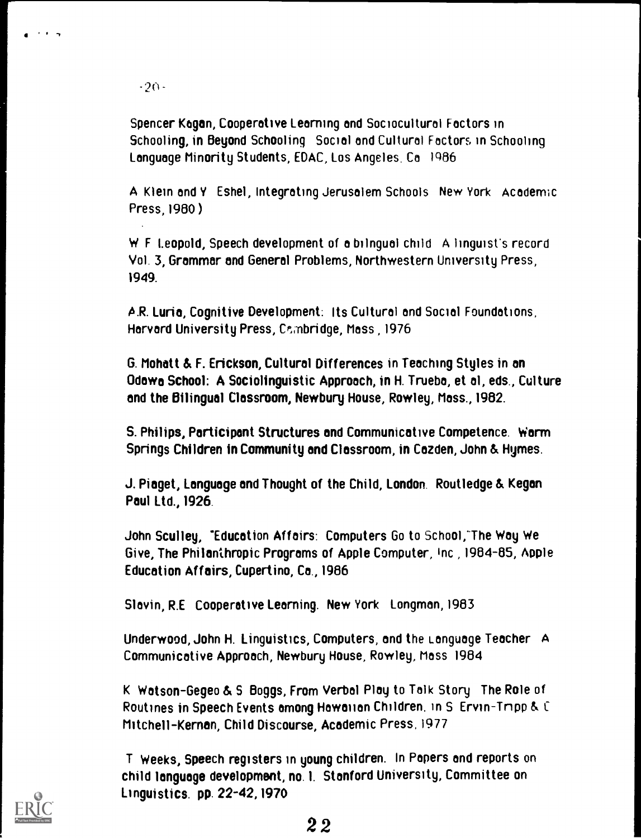-20-

I -I

Spencer Kagan, Cooperative Learning and Sociocultural Factors in Schooling, in Beyond Schooling Social and Cultural Factors in Schooling Language Minority Students, EDAC, Los Angeles. Ca I986

A Klein and Y Eshel, Integrating Jerusalem Schools New York Academic Press, 1980 )

W F Leopold, Speech development of a bilngual child A linguist's record Vol. 3, Grammar and General Problems, Northwestern University Press, 1949.

A.R. Luria, Cognitive Development: Its Cultural and Social Foundations, Harvard University Press, Cambridge, Mass, 1976

G. Mohatt & F. Erickson, Cultural Differences in Teaching Styles in on Odewo School: A Sociolinguistic Approach, in H. Trueba, et al, eds., Culture and the Bilingual Classroom, Newbury House, Rowley, Mass., 1982.

S. Philips, Participant Structures and Communicative Competence. Worm Springs Children in Community and Classroom, in Cazden, John & Hyrnes.

J. Piaget, Language and Thought of the Child, London. Routledge & Kegan Paul Ltd., 1926.

John Sculley, "Education Affairs: Computers Go to School:The Way We Give, The Philanthropic Programs of Apple Computer, Inc 1984-85, Apple Education Affairs, Cupertino, Ca., 1986

Slavin, R.E Cooperative Learning. New York Longman, 1983

Underwood, John H. Linguistics, Computers, and the Language Teacher A Communicative Approach, Newbury House, Rowley, Moss 1984

K Watson-Gegeo & S Boggs, From Verbal Play to Talk Story The Role of Routines in Speech Events among Hawaiian Children. in S Ervin-Tnpp & C Mitchell- Kernen, Child Discourse, Academic Press, 1977

T Weeks, Speech registers in young children. In Papers and reports on child language development, no. 1. Stanford University, Committee on Linguistics. pp. 22-42,1970